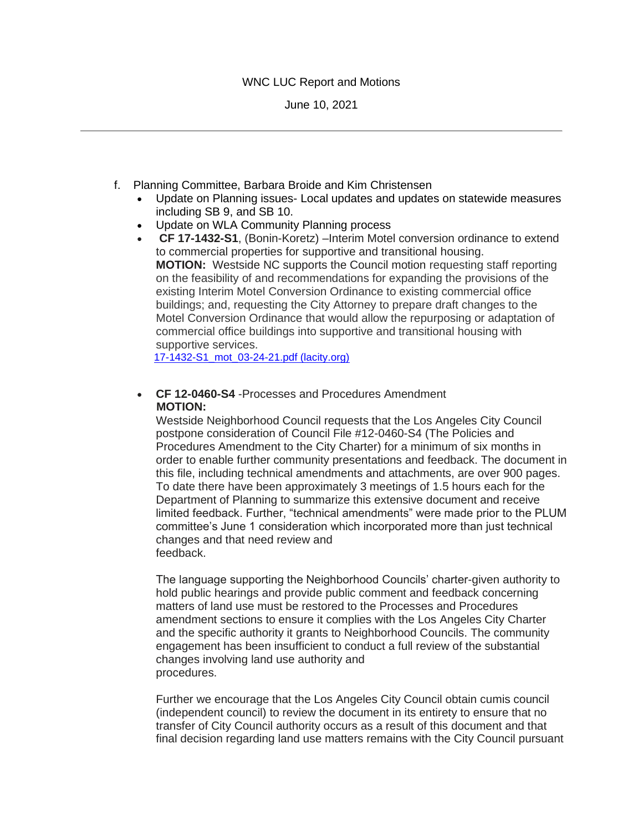## WNC LUC Report and Motions

June 10, 2021

- f. Planning Committee, Barbara Broide and Kim Christensen
	- Update on Planning issues- Local updates and updates on statewide measures including SB 9, and SB 10.
	- Update on WLA Community Planning process
	- **CF 17-1432-S1**, (Bonin-Koretz) –Interim Motel conversion ordinance to extend to commercial properties for supportive and transitional housing. **MOTION:** Westside NC supports the Council motion requesting staff reporting on the feasibility of and recommendations for expanding the provisions of the existing Interim Motel Conversion Ordinance to existing commercial office buildings; and, requesting the City Attorney to prepare draft changes to the Motel Conversion Ordinance that would allow the repurposing or adaptation of commercial office buildings into supportive and transitional housing with supportive services.

[17-1432-S1\\_mot\\_03-24-21.pdf \(lacity.org\)](https://clkrep.lacity.org/onlinedocs/2017/17-1432-S1_mot_03-24-21.pdf)

• **CF 12-0460-S4** -Processes and Procedures Amendment **MOTION:** 

Westside Neighborhood Council requests that the Los Angeles City Council postpone consideration of Council File #12-0460-S4 (The Policies and Procedures Amendment to the City Charter) for a minimum of six months in order to enable further community presentations and feedback. The document in this file, including technical amendments and attachments, are over 900 pages. To date there have been approximately 3 meetings of 1.5 hours each for the Department of Planning to summarize this extensive document and receive limited feedback. Further, "technical amendments" were made prior to the PLUM committee's June 1 consideration which incorporated more than just technical changes and that need review and feedback.

The language supporting the Neighborhood Councils' charter-given authority to hold public hearings and provide public comment and feedback concerning matters of land use must be restored to the Processes and Procedures amendment sections to ensure it complies with the Los Angeles City Charter and the specific authority it grants to Neighborhood Councils. The community engagement has been insufficient to conduct a full review of the substantial changes involving land use authority and procedures.

Further we encourage that the Los Angeles City Council obtain cumis council (independent council) to review the document in its entirety to ensure that no transfer of City Council authority occurs as a result of this document and that final decision regarding land use matters remains with the City Council pursuant